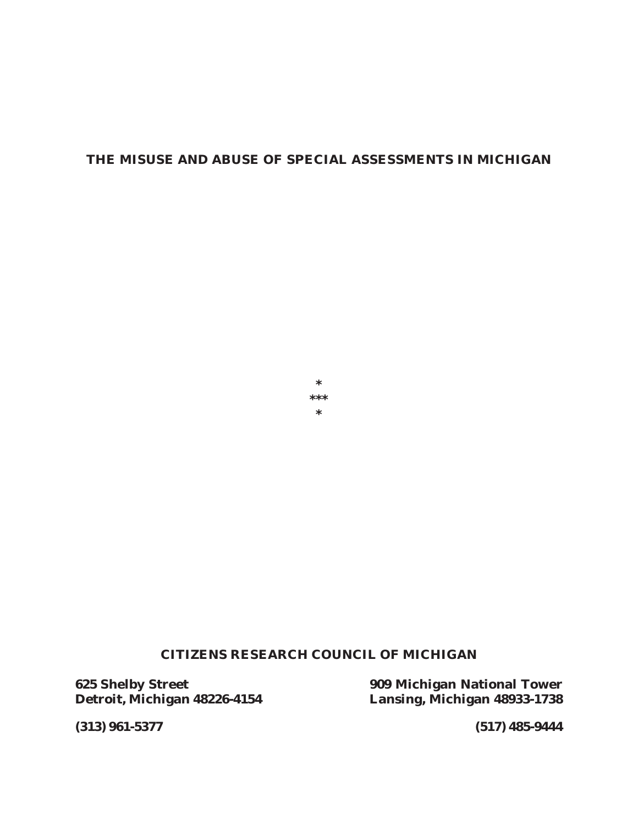# **THE MISUSE AND ABUSE OF SPECIAL ASSESSMENTS IN MICHIGAN**



# **CITIZENS RESEARCH COUNCIL OF MICHIGAN**

**Detroit, Michigan 48226-4154 Lansing, Michigan 48933-1738**

**625 Shelby Street 909 Michigan National Tower**

**(313) 961-5377 (517) 485-9444**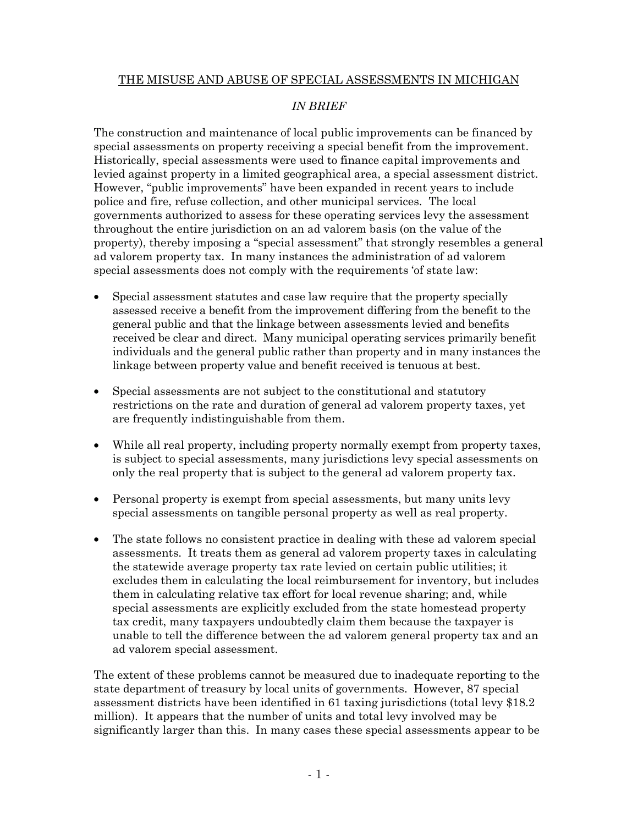# THE MISUSE AND ABUSE OF SPECIAL ASSESSMENTS IN MICHIGAN

# *IN BRIEF*

The construction and maintenance of local public improvements can be financed by special assessments on property receiving a special benefit from the improvement. Historically, special assessments were used to finance capital improvements and levied against property in a limited geographical area, a special assessment district. However, "public improvements" have been expanded in recent years to include police and fire, refuse collection, and other municipal services. The local governments authorized to assess for these operating services levy the assessment throughout the entire jurisdiction on an ad valorem basis (on the value of the property), thereby imposing a "special assessment" that strongly resembles a general ad valorem property tax. In many instances the administration of ad valorem special assessments does not comply with the requirements 'of state law:

- Special assessment statutes and case law require that the property specially assessed receive a benefit from the improvement differing from the benefit to the general public and that the linkage between assessments levied and benefits received be clear and direct. Many municipal operating services primarily benefit individuals and the general public rather than property and in many instances the linkage between property value and benefit received is tenuous at best.
- Special assessments are not subject to the constitutional and statutory restrictions on the rate and duration of general ad valorem property taxes, yet are frequently indistinguishable from them.
- While all real property, including property normally exempt from property taxes, is subject to special assessments, many jurisdictions levy special assessments on only the real property that is subject to the general ad valorem property tax.
- Personal property is exempt from special assessments, but many units levy special assessments on tangible personal property as well as real property.
- The state follows no consistent practice in dealing with these ad valorem special assessments. It treats them as general ad valorem property taxes in calculating the statewide average property tax rate levied on certain public utilities; it excludes them in calculating the local reimbursement for inventory, but includes them in calculating relative tax effort for local revenue sharing; and, while special assessments are explicitly excluded from the state homestead property tax credit, many taxpayers undoubtedly claim them because the taxpayer is unable to tell the difference between the ad valorem general property tax and an ad valorem special assessment.

The extent of these problems cannot be measured due to inadequate reporting to the state department of treasury by local units of governments. However, 87 special assessment districts have been identified in 61 taxing jurisdictions (total levy \$18.2 million). It appears that the number of units and total levy involved may be significantly larger than this. In many cases these special assessments appear to be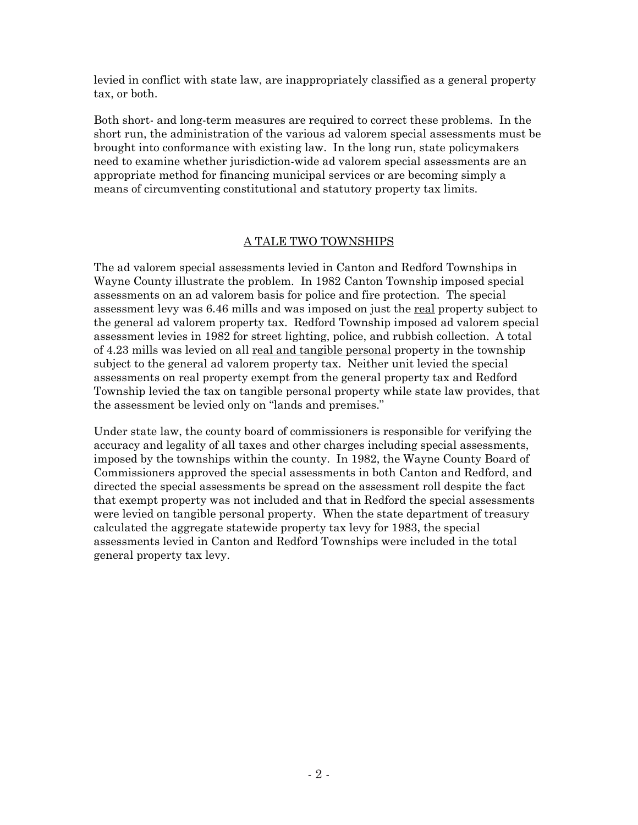levied in conflict with state law, are inappropriately classified as a general property tax, or both.

Both short- and long-term measures are required to correct these problems. In the short run, the administration of the various ad valorem special assessments must be brought into conformance with existing law. In the long run, state policymakers need to examine whether jurisdiction-wide ad valorem special assessments are an appropriate method for financing municipal services or are becoming simply a means of circumventing constitutional and statutory property tax limits.

#### A TALE TWO TOWNSHIPS

The ad valorem special assessments levied in Canton and Redford Townships in Wayne County illustrate the problem. In 1982 Canton Township imposed special assessments on an ad valorem basis for police and fire protection. The special assessment levy was 6.46 mills and was imposed on just the real property subject to the general ad valorem property tax. Redford Township imposed ad valorem special assessment levies in 1982 for street lighting, police, and rubbish collection. A total of 4.23 mills was levied on all real and tangible personal property in the township subject to the general ad valorem property tax. Neither unit levied the special assessments on real property exempt from the general property tax and Redford Township levied the tax on tangible personal property while state law provides, that the assessment be levied only on "lands and premises."

Under state law, the county board of commissioners is responsible for verifying the accuracy and legality of all taxes and other charges including special assessments, imposed by the townships within the county. In 1982, the Wayne County Board of Commissioners approved the special assessments in both Canton and Redford, and directed the special assessments be spread on the assessment roll despite the fact that exempt property was not included and that in Redford the special assessments were levied on tangible personal property. When the state department of treasury calculated the aggregate statewide property tax levy for 1983, the special assessments levied in Canton and Redford Townships were included in the total general property tax levy.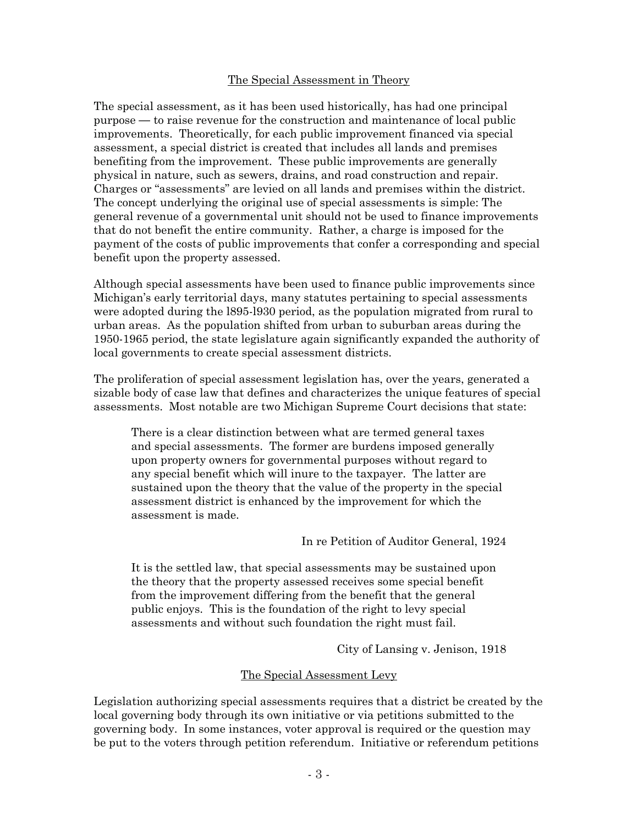#### The Special Assessment in Theory

The special assessment, as it has been used historically, has had one principal purpose **—** to raise revenue for the construction and maintenance of local public improvements. Theoretically, for each public improvement financed via special assessment, a special district is created that includes all lands and premises benefiting from the improvement. These public improvements are generally physical in nature, such as sewers, drains, and road construction and repair. Charges or "assessments" are levied on all lands and premises within the district. The concept underlying the original use of special assessments is simple: The general revenue of a governmental unit should not be used to finance improvements that do not benefit the entire community. Rather, a charge is imposed for the payment of the costs of public improvements that confer a corresponding and special benefit upon the property assessed.

Although special assessments have been used to finance public improvements since Michigan's early territorial days, many statutes pertaining to special assessments were adopted during the l895-l930 period, as the population migrated from rural to urban areas. As the population shifted from urban to suburban areas during the 1950-1965 period, the state legislature again significantly expanded the authority of local governments to create special assessment districts.

The proliferation of special assessment legislation has, over the years, generated a sizable body of case law that defines and characterizes the unique features of special assessments. Most notable are two Michigan Supreme Court decisions that state:

There is a clear distinction between what are termed general taxes and special assessments. The former are burdens imposed generally upon property owners for governmental purposes without regard to any special benefit which will inure to the taxpayer. The latter are sustained upon the theory that the value of the property in the special assessment district is enhanced by the improvement for which the assessment is made.

In re Petition of Auditor General, 1924

It is the settled law, that special assessments may be sustained upon the theory that the property assessed receives some special benefit from the improvement differing from the benefit that the general public enjoys. This is the foundation of the right to levy special assessments and without such foundation the right must fail.

City of Lansing v. Jenison, 1918

#### The Special Assessment Levy

Legislation authorizing special assessments requires that a district be created by the local governing body through its own initiative or via petitions submitted to the governing body. In some instances, voter approval is required or the question may be put to the voters through petition referendum. Initiative or referendum petitions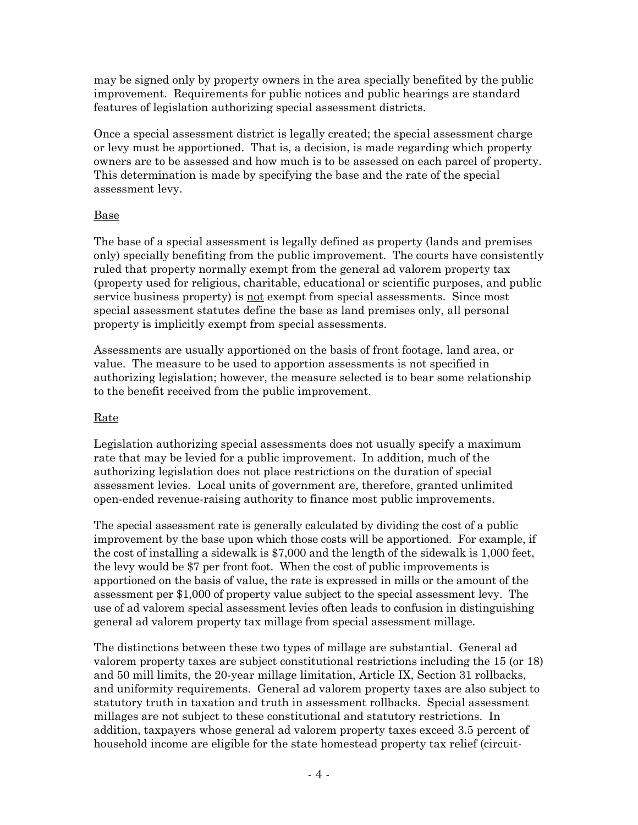may be signed only by property owners in the area specially benefited by the public improvement. Requirements for public notices and public hearings are standard features of legislation authorizing special assessment districts.

Once a special assessment district is legally created; the special assessment charge or levy must be apportioned. That is, a decision, is made regarding which property owners are to be assessed and how much is to be assessed on each parcel of property. This determination is made by specifying the base and the rate of the special assessment levy.

# Base

The base of a special assessment is legally defined as property (lands and premises only) specially benefiting from the public improvement. The courts have consistently ruled that property normally exempt from the general ad valorem property tax (property used for religious, charitable, educational or scientific purposes, and public service business property) is not exempt from special assessments. Since most special assessment statutes define the base as land premises only, all personal property is implicitly exempt from special assessments.

Assessments are usually apportioned on the basis of front footage, land area, or value. The measure to be used to apportion assessments is not specified in authorizing legislation; however, the measure selected is to bear some relationship to the benefit received from the public improvement.

# Rate

Legislation authorizing special assessments does not usually specify a maximum rate that may be levied for a public improvement. In addition, much of the authorizing legislation does not place restrictions on the duration of special assessment levies. Local units of government are, therefore, granted unlimited open-ended revenue-raising authority to finance most public improvements.

The special assessment rate is generally calculated by dividing the cost of a public improvement by the base upon which those costs will be apportioned. For example, if the cost of installing a sidewalk is \$7,000 and the length of the sidewalk is 1,000 feet, the levy would be \$7 per front foot. When the cost of public improvements is apportioned on the basis of value, the rate is expressed in mills or the amount of the assessment per \$1,000 of property value subject to the special assessment levy. The use of ad valorem special assessment levies often leads to confusion in distinguishing general ad valorem property tax millage from special assessment millage.

The distinctions between these two types of millage are substantial. General ad valorem property taxes are subject constitutional restrictions including the 15 (or 18) and 50 mill limits, the 20-year millage limitation, Article IX, Section 31 rollbacks, and uniformity requirements. General ad valorem property taxes are also subject to statutory truth in taxation and truth in assessment rollbacks. Special assessment millages are not subject to these constitutional and statutory restrictions. In addition, taxpayers whose general ad valorem property taxes exceed 3.5 percent of household income are eligible for the state homestead property tax relief (circuit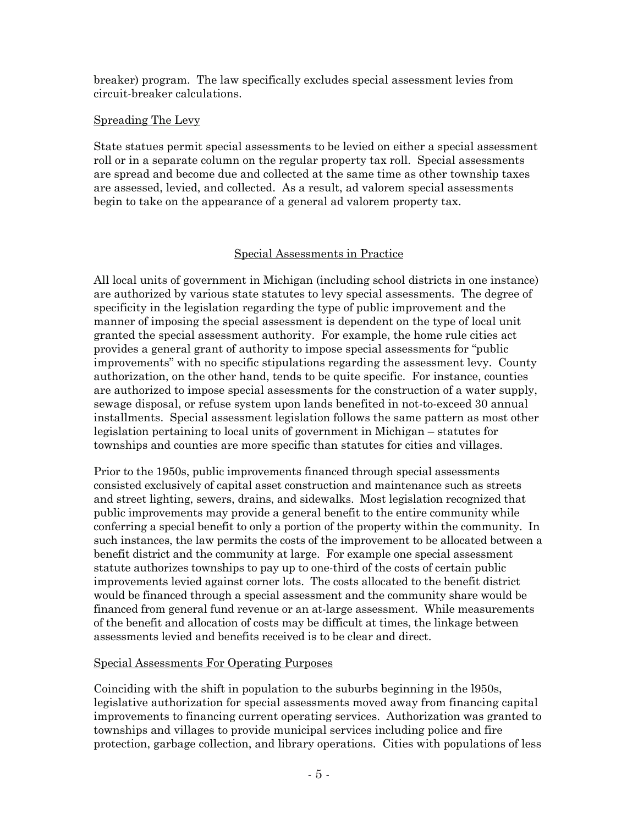breaker) program. The law specifically excludes special assessment levies from circuit-breaker calculations.

### Spreading The Levy

State statues permit special assessments to be levied on either a special assessment roll or in a separate column on the regular property tax roll. Special assessments are spread and become due and collected at the same time as other township taxes are assessed, levied, and collected. As a result, ad valorem special assessments begin to take on the appearance of a general ad valorem property tax.

# Special Assessments in Practice

All local units of government in Michigan (including school districts in one instance) are authorized by various state statutes to levy special assessments. The degree of specificity in the legislation regarding the type of public improvement and the manner of imposing the special assessment is dependent on the type of local unit granted the special assessment authority. For example, the home rule cities act provides a general grant of authority to impose special assessments for "public improvements" with no specific stipulations regarding the assessment levy. County authorization, on the other hand, tends to be quite specific. For instance, counties are authorized to impose special assessments for the construction of a water supply, sewage disposal, or refuse system upon lands benefited in not-to-exceed 30 annual installments. Special assessment legislation follows the same pattern as most other legislation pertaining to local units of government in Michigan – statutes for townships and counties are more specific than statutes for cities and villages.

Prior to the 1950s, public improvements financed through special assessments consisted exclusively of capital asset construction and maintenance such as streets and street lighting, sewers, drains, and sidewalks. Most legislation recognized that public improvements may provide a general benefit to the entire community while conferring a special benefit to only a portion of the property within the community. In such instances, the law permits the costs of the improvement to be allocated between a benefit district and the community at large. For example one special assessment statute authorizes townships to pay up to one-third of the costs of certain public improvements levied against corner lots. The costs allocated to the benefit district would be financed through a special assessment and the community share would be financed from general fund revenue or an at-large assessment. While measurements of the benefit and allocation of costs may be difficult at times, the linkage between assessments levied and benefits received is to be clear and direct.

#### Special Assessments For Operating Purposes

Coinciding with the shift in population to the suburbs beginning in the l950s, legislative authorization for special assessments moved away from financing capital improvements to financing current operating services. Authorization was granted to townships and villages to provide municipal services including police and fire protection, garbage collection, and library operations. Cities with populations of less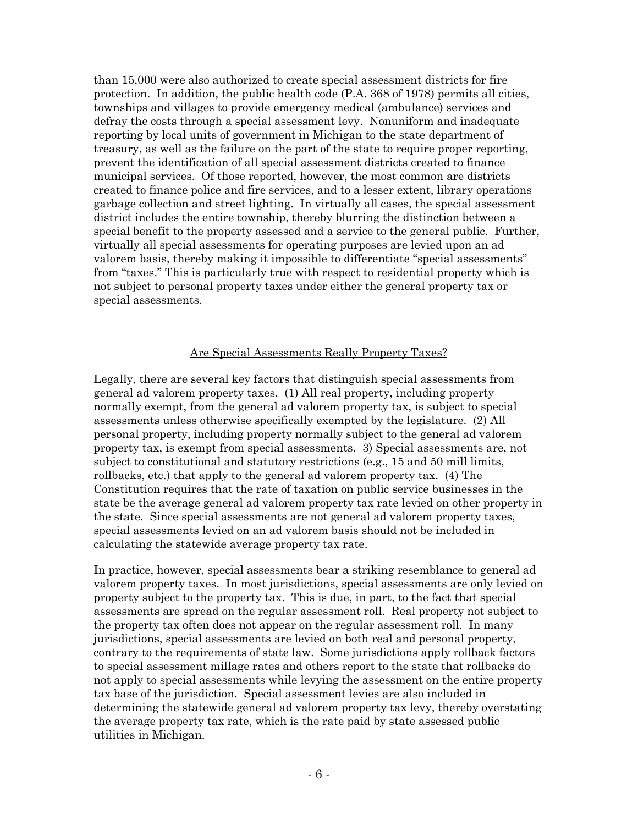than 15,000 were also authorized to create special assessment districts for fire protection. In addition, the public health code (P.A. 368 of 1978) permits all cities, townships and villages to provide emergency medical (ambulance) services and defray the costs through a special assessment levy. Nonuniform and inadequate reporting by local units of government in Michigan to the state department of treasury, as well as the failure on the part of the state to require proper reporting, prevent the identification of all special assessment districts created to finance municipal services. Of those reported, however, the most common are districts created to finance police and fire services, and to a lesser extent, library operations garbage collection and street lighting. In virtually all cases, the special assessment district includes the entire township, thereby blurring the distinction between a special benefit to the property assessed and a service to the general public. Further, virtually all special assessments for operating purposes are levied upon an ad valorem basis, thereby making it impossible to differentiate "special assessments" from "taxes." This is particularly true with respect to residential property which is not subject to personal property taxes under either the general property tax or special assessments.

#### Are Special Assessments Really Property Taxes?

Legally, there are several key factors that distinguish special assessments from general ad valorem property taxes. (1) All real property, including property normally exempt, from the general ad valorem property tax, is subject to special assessments unless otherwise specifically exempted by the legislature. (2) All personal property, including property normally subject to the general ad valorem property tax, is exempt from special assessments. 3) Special assessments are, not subject to constitutional and statutory restrictions (e.g., 15 and 50 mill limits, rollbacks, etc.) that apply to the general ad valorem property tax. (4) The Constitution requires that the rate of taxation on public service businesses in the state be the average general ad valorem property tax rate levied on other property in the state. Since special assessments are not general ad valorem property taxes, special assessments levied on an ad valorem basis should not be included in calculating the statewide average property tax rate.

In practice, however, special assessments bear a striking resemblance to general ad valorem property taxes. In most jurisdictions, special assessments are only levied on property subject to the property tax. This is due, in part, to the fact that special assessments are spread on the regular assessment roll. Real property not subject to the property tax often does not appear on the regular assessment roll. In many jurisdictions, special assessments are levied on both real and personal property, contrary to the requirements of state law. Some jurisdictions apply rollback factors to special assessment millage rates and others report to the state that rollbacks do not apply to special assessments while levying the assessment on the entire property tax base of the jurisdiction. Special assessment levies are also included in determining the statewide general ad valorem property tax levy, thereby overstating the average property tax rate, which is the rate paid by state assessed public utilities in Michigan.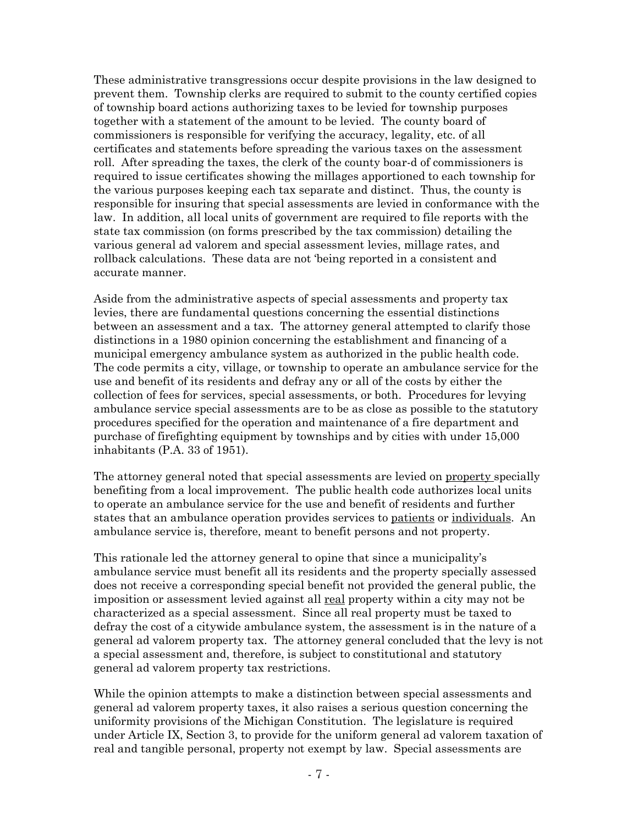These administrative transgressions occur despite provisions in the law designed to prevent them. Township clerks are required to submit to the county certified copies of township board actions authorizing taxes to be levied for township purposes together with a statement of the amount to be levied. The county board of commissioners is responsible for verifying the accuracy, legality, etc. of all certificates and statements before spreading the various taxes on the assessment roll. After spreading the taxes, the clerk of the county boar-d of commissioners is required to issue certificates showing the millages apportioned to each township for the various purposes keeping each tax separate and distinct. Thus, the county is responsible for insuring that special assessments are levied in conformance with the law. In addition, all local units of government are required to file reports with the state tax commission (on forms prescribed by the tax commission) detailing the various general ad valorem and special assessment levies, millage rates, and rollback calculations. These data are not 'being reported in a consistent and accurate manner.

Aside from the administrative aspects of special assessments and property tax levies, there are fundamental questions concerning the essential distinctions between an assessment and a tax. The attorney general attempted to clarify those distinctions in a 1980 opinion concerning the establishment and financing of a municipal emergency ambulance system as authorized in the public health code. The code permits a city, village, or township to operate an ambulance service for the use and benefit of its residents and defray any or all of the costs by either the collection of fees for services, special assessments, or both. Procedures for levying ambulance service special assessments are to be as close as possible to the statutory procedures specified for the operation and maintenance of a fire department and purchase of firefighting equipment by townships and by cities with under 15,000 inhabitants (P.A. 33 of 1951).

The attorney general noted that special assessments are levied on property specially benefiting from a local improvement. The public health code authorizes local units to operate an ambulance service for the use and benefit of residents and further states that an ambulance operation provides services to patients or individuals. An ambulance service is, therefore, meant to benefit persons and not property.

This rationale led the attorney general to opine that since a municipality's ambulance service must benefit all its residents and the property specially assessed does not receive a corresponding special benefit not provided the general public, the imposition or assessment levied against all real property within a city may not be characterized as a special assessment. Since all real property must be taxed to defray the cost of a citywide ambulance system, the assessment is in the nature of a general ad valorem property tax. The attorney general concluded that the levy is not a special assessment and, therefore, is subject to constitutional and statutory general ad valorem property tax restrictions.

While the opinion attempts to make a distinction between special assessments and general ad valorem property taxes, it also raises a serious question concerning the uniformity provisions of the Michigan Constitution. The legislature is required under Article IX, Section 3, to provide for the uniform general ad valorem taxation of real and tangible personal, property not exempt by law. Special assessments are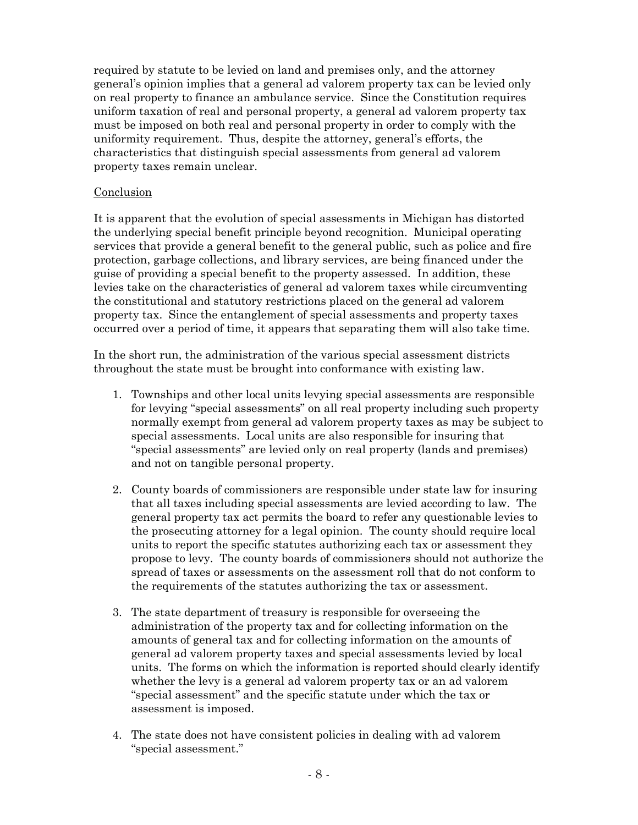required by statute to be levied on land and premises only, and the attorney general's opinion implies that a general ad valorem property tax can be levied only on real property to finance an ambulance service. Since the Constitution requires uniform taxation of real and personal property, a general ad valorem property tax must be imposed on both real and personal property in order to comply with the uniformity requirement. Thus, despite the attorney, general's efforts, the characteristics that distinguish special assessments from general ad valorem property taxes remain unclear.

# Conclusion

It is apparent that the evolution of special assessments in Michigan has distorted the underlying special benefit principle beyond recognition. Municipal operating services that provide a general benefit to the general public, such as police and fire protection, garbage collections, and library services, are being financed under the guise of providing a special benefit to the property assessed. In addition, these levies take on the characteristics of general ad valorem taxes while circumventing the constitutional and statutory restrictions placed on the general ad valorem property tax. Since the entanglement of special assessments and property taxes occurred over a period of time, it appears that separating them will also take time.

In the short run, the administration of the various special assessment districts throughout the state must be brought into conformance with existing law.

- 1. Townships and other local units levying special assessments are responsible for levying "special assessments" on all real property including such property normally exempt from general ad valorem property taxes as may be subject to special assessments. Local units are also responsible for insuring that "special assessments" are levied only on real property (lands and premises) and not on tangible personal property.
- 2. County boards of commissioners are responsible under state law for insuring that all taxes including special assessments are levied according to law. The general property tax act permits the board to refer any questionable levies to the prosecuting attorney for a legal opinion. The county should require local units to report the specific statutes authorizing each tax or assessment they propose to levy. The county boards of commissioners should not authorize the spread of taxes or assessments on the assessment roll that do not conform to the requirements of the statutes authorizing the tax or assessment.
- 3. The state department of treasury is responsible for overseeing the administration of the property tax and for collecting information on the amounts of general tax and for collecting information on the amounts of general ad valorem property taxes and special assessments levied by local units. The forms on which the information is reported should clearly identify whether the levy is a general ad valorem property tax or an ad valorem "special assessment" and the specific statute under which the tax or assessment is imposed.
- 4. The state does not have consistent policies in dealing with ad valorem "special assessment."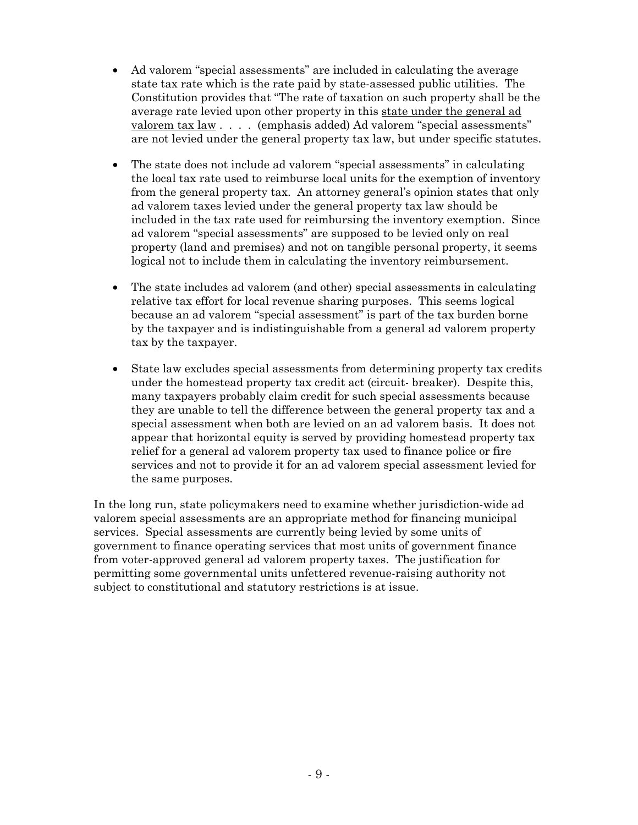- Ad valorem "special assessments" are included in calculating the average state tax rate which is the rate paid by state-assessed public utilities. The Constitution provides that "The rate of taxation on such property shall be the average rate levied upon other property in this state under the general ad valorem tax law . . . . (emphasis added) Ad valorem "special assessments" are not levied under the general property tax law, but under specific statutes.
- The state does not include ad valorem "special assessments" in calculating the local tax rate used to reimburse local units for the exemption of inventory from the general property tax. An attorney general's opinion states that only ad valorem taxes levied under the general property tax law should be included in the tax rate used for reimbursing the inventory exemption. Since ad valorem "special assessments" are supposed to be levied only on real property (land and premises) and not on tangible personal property, it seems logical not to include them in calculating the inventory reimbursement.
- The state includes ad valorem (and other) special assessments in calculating relative tax effort for local revenue sharing purposes. This seems logical because an ad valorem "special assessment" is part of the tax burden borne by the taxpayer and is indistinguishable from a general ad valorem property tax by the taxpayer.
- State law excludes special assessments from determining property tax credits under the homestead property tax credit act (circuit- breaker). Despite this, many taxpayers probably claim credit for such special assessments because they are unable to tell the difference between the general property tax and a special assessment when both are levied on an ad valorem basis. It does not appear that horizontal equity is served by providing homestead property tax relief for a general ad valorem property tax used to finance police or fire services and not to provide it for an ad valorem special assessment levied for the same purposes.

In the long run, state policymakers need to examine whether jurisdiction-wide ad valorem special assessments are an appropriate method for financing municipal services. Special assessments are currently being levied by some units of government to finance operating services that most units of government finance from voter-approved general ad valorem property taxes. The justification for permitting some governmental units unfettered revenue-raising authority not subject to constitutional and statutory restrictions is at issue.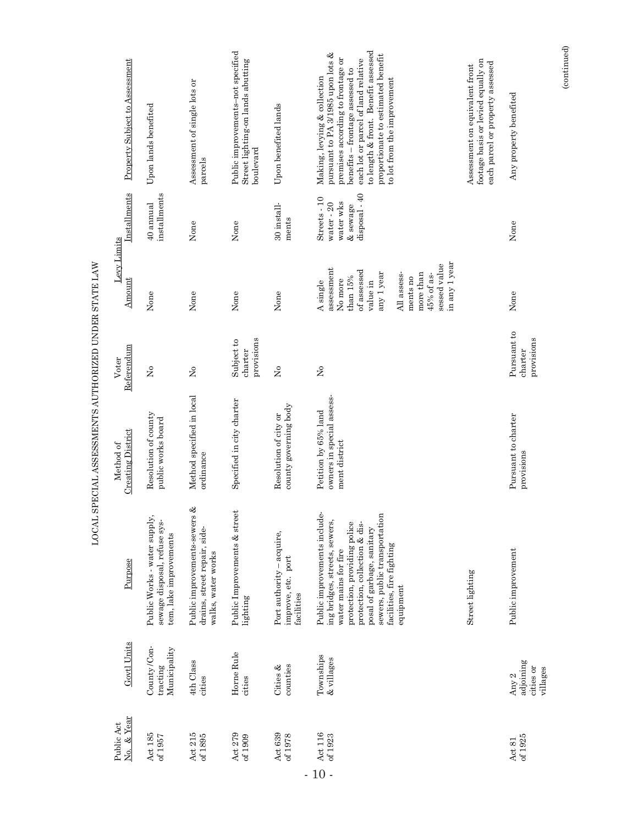| Property Subject to Assessment        | Upon lands benefited                                                                   | Assessment of single lots or<br>parcels                                                | Public improvements-not specified<br>Street lighting-on lands abutting<br>boulevard | Upon benefited lands                                          | to length & front. Benefit assessed<br>pursuant to PA 3/1985 upon lots $\&$<br>proportionate to estimated benefit<br>premises according to frontage or<br>each lot or parcel of land relative<br>benefits - frontage assessed to<br>Making, levying & collection<br>to lot from the improvement | footage basis or levied equally on<br>each parcel or property assessed<br>Assessment on equivalent front | Any property benefited                        |
|---------------------------------------|----------------------------------------------------------------------------------------|----------------------------------------------------------------------------------------|-------------------------------------------------------------------------------------|---------------------------------------------------------------|-------------------------------------------------------------------------------------------------------------------------------------------------------------------------------------------------------------------------------------------------------------------------------------------------|----------------------------------------------------------------------------------------------------------|-----------------------------------------------|
| Installments                          | installments<br>40 annual                                                              | None                                                                                   | None                                                                                | 30 install-<br>ments                                          | disposal - 40<br>Streets - 10<br>water wks<br>water - 20<br>& sewage                                                                                                                                                                                                                            |                                                                                                          | None                                          |
| Levy Limits<br>Amount                 | None                                                                                   | None                                                                                   | None                                                                                | None                                                          | in any 1 year<br>sessed value<br>assessment<br>of assessed<br>any 1 year<br>All assess-<br>more than<br>45% of as-<br>than 15%<br>ments no<br>No more<br>A single<br>value in                                                                                                                   |                                                                                                          | None                                          |
| Referendum<br>Voter                   | $\mathsf{S}^{\mathsf{o}}$                                                              | $\tilde{z}$                                                                            | provisions<br>Subject to<br>charter                                                 | $\tilde{z}$                                                   | $\tilde{z}$                                                                                                                                                                                                                                                                                     |                                                                                                          | Pursuant to<br>provisions<br>charter          |
| <b>Creating District</b><br>Method of | Resolution of county<br>public works board                                             | Method specified in local<br>ordinance                                                 | Specified in city charter                                                           | county governing body<br>Resolution of city or                | owners in special assess-<br>Petition by 65% land<br>ment district                                                                                                                                                                                                                              |                                                                                                          | Pursuant to charter<br>provisions             |
| Purpose                               | Public Works - water supply,<br>sewage disposal, refuse sys-<br>tem, lake improvements | తి<br>Public improvements-sewers<br>drains, street repair, side-<br>walks, water works | Public Improvements & street<br>lighting                                            | Port authority - acquire,<br>improve, etc. port<br>facilities | Public improvements include-<br>sewers, public transportation<br>ing bridges, streets, sewers,<br>protection, providing police<br>protection, collection & dis-<br>posal of garbage, sanitary<br>facilities, fire fighting<br>water mains for fire<br>equipment                                 | <b>Street lighting</b>                                                                                   | Public improvement                            |
| Govtl Units                           | County /Con-<br>Municipality<br>tracting                                               | 4th Class<br>cities                                                                    | Horne Rule<br>cities                                                                | counties<br>Cities &                                          | Townships<br>& villages                                                                                                                                                                                                                                                                         |                                                                                                          | adjoining<br>cities or<br>villages<br>Any $2$ |
| No. & Year<br>Public Act              | Act 185<br>of 1957                                                                     | Act 215<br>of 1895                                                                     | Act 279<br>of 1909                                                                  | Act 639<br>of 1978                                            | Act 116<br>of 1923                                                                                                                                                                                                                                                                              |                                                                                                          | of 1925<br>Act $81\,$                         |

LOCAL SPECIAL ASSESSMENTS AUTHORIZED UNDER STATE LAW LOCAL SPECIAL ASSESSMENTS AUTHORIZED UNDER STATE LAW

 $(continued)$ (continued)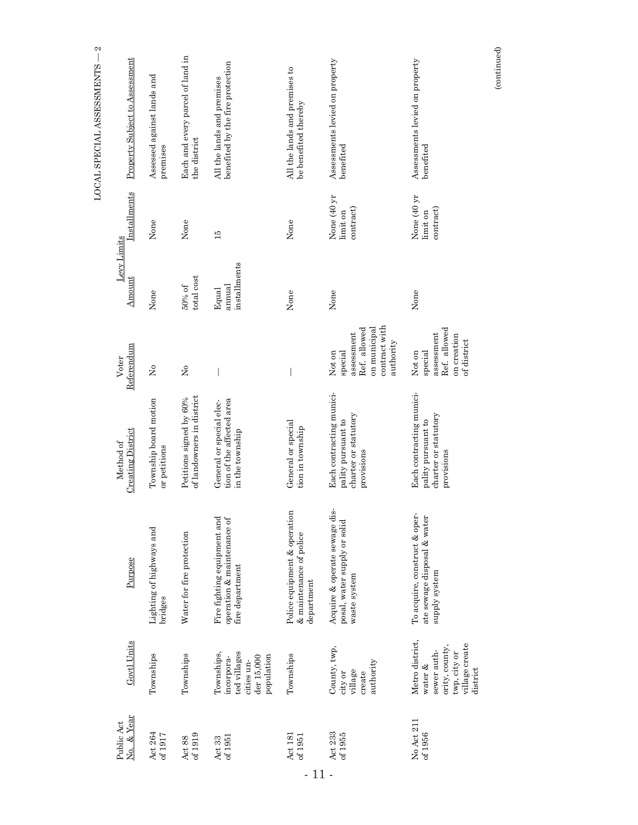| $\mathbf{\Omega}$<br>LOCAL SPECIAL ASSESSMENTS | Property Subject to Assessment        | Assessed against lands and<br>premises | Each and every parcel of land in<br>the district     | benefited by the fire protection<br>All the lands and premises                     | All the lands and premises to<br>be benefited thereby                 | Assessments levied on property<br>benefited                                                   | Assessments levied on property<br>benefited                                                               |
|------------------------------------------------|---------------------------------------|----------------------------------------|------------------------------------------------------|------------------------------------------------------------------------------------|-----------------------------------------------------------------------|-----------------------------------------------------------------------------------------------|-----------------------------------------------------------------------------------------------------------|
|                                                | Installments                          | None                                   | None                                                 | 15                                                                                 | None                                                                  | None (40 yr<br>contract<br>limit on                                                           | None (40 yr<br>contract)<br>limit on                                                                      |
|                                                | Levy Limits<br>Amount                 | None                                   | total cost<br>50% of                                 | installments<br>annual<br>Equal                                                    | None                                                                  | None                                                                                          | None                                                                                                      |
|                                                | Referendum<br>Voter                   | $\tilde{z}$                            | $\tilde{z}$                                          |                                                                                    |                                                                       | contract with<br>on municipal<br>Ref. allowed<br>assessment<br>authority<br>special<br>Not on | Ref. allowed<br>assessment<br>on creation<br>of district<br>special<br>Not on                             |
|                                                | <b>Creating District</b><br>Method of | Township board motion<br>or petitions  | of landowners in district<br>Petitions signed by 60% | tion of the affected area<br>General or special elec-<br>in the township           | General or special<br>tion in township                                | Each contracting munici-<br>charter or statutory<br>pality pursuant to<br>provisions          | Each contracting munici-<br>charter or statutory<br>pality pursuant to<br>provisions                      |
|                                                | Purpose                               | Lighting of highways and<br>bridges    | Water for fire protection                            | Fire fighting equipment and<br>operation & maintenance of<br>fire department       | Police equipment & operation<br>& maintenance of police<br>department | Acquire & operate sewage dis-<br>posal, water supply or solid<br>waste system                 | To acquire, construct & oper-<br>ate sewage disposal & water<br>supply system                             |
|                                                | Govtl Units                           | Townships                              | Townships                                            | ted villages<br>Townships,<br>population<br>der 15,000<br>incorpora-<br>cities un- | Townships                                                             | County, twp,<br>authority<br>village<br>city or<br>create                                     | Metro district,<br>village create<br>ority, county,<br>sewer auth-<br>twp, city or<br>water &<br>district |
|                                                | No. & Year<br>Public Act              | Act 264<br>of 1917                     | of $1919$<br>Act $88$                                | $\frac{\Delta ct}{\Delta t}$ 33<br>of 1951                                         | Act 181<br>of $1951$                                                  | Act $233\,$<br>of 1955                                                                        | No Act 211<br>of $1956$                                                                                   |

(continued)

 $\left( {continued} \right)$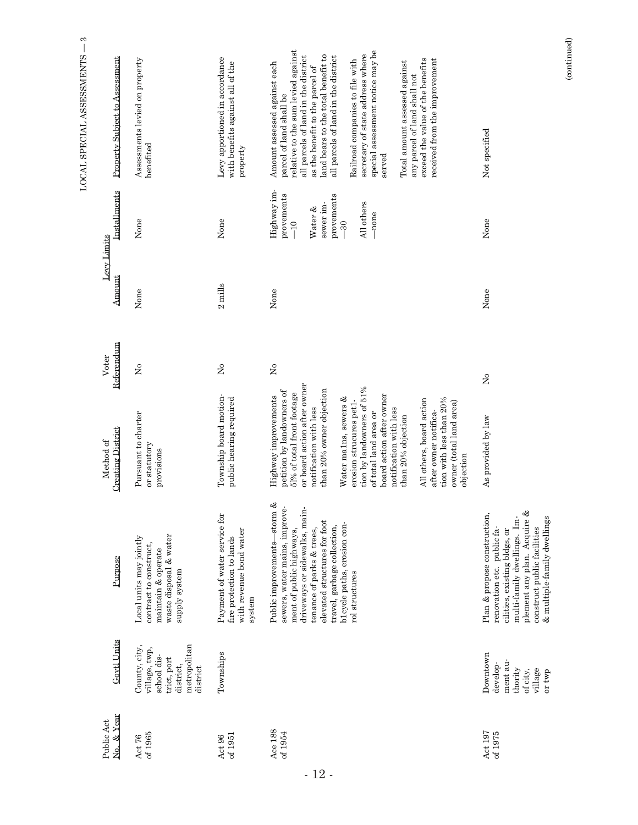|                          |                                                                                                       |                                                                                                                                                                                                                                                                        |                                                                                                                                                                                                                                                                                                                                                                                                                                                                                    |                     |                       |                                                                                                          | S<br>LOCAL SPECIAL ASSESSMENTS                                                                                                                                                                                                                                                                                                                                                                                                                                                                                  |
|--------------------------|-------------------------------------------------------------------------------------------------------|------------------------------------------------------------------------------------------------------------------------------------------------------------------------------------------------------------------------------------------------------------------------|------------------------------------------------------------------------------------------------------------------------------------------------------------------------------------------------------------------------------------------------------------------------------------------------------------------------------------------------------------------------------------------------------------------------------------------------------------------------------------|---------------------|-----------------------|----------------------------------------------------------------------------------------------------------|-----------------------------------------------------------------------------------------------------------------------------------------------------------------------------------------------------------------------------------------------------------------------------------------------------------------------------------------------------------------------------------------------------------------------------------------------------------------------------------------------------------------|
| No. & Year<br>Public Act | Govtl Units                                                                                           | Purpose                                                                                                                                                                                                                                                                | <b>Creating District</b><br>Method of                                                                                                                                                                                                                                                                                                                                                                                                                                              | Referendum<br>Voter | Levy Limits<br>Amount | Installments                                                                                             | Property Subject to Assessment                                                                                                                                                                                                                                                                                                                                                                                                                                                                                  |
|                          | metropolitan<br>County, city,<br>village, twp,<br>school dis-<br>trict, port<br>district,<br>district | waste disposal & water<br>Local units may jointly<br>contract to construct,<br>maintain & operate<br>supply system                                                                                                                                                     | Pursuant to charter<br>or statutory<br>provisions                                                                                                                                                                                                                                                                                                                                                                                                                                  | ž                   | None                  | None                                                                                                     | Assessments levied on property<br>benefited                                                                                                                                                                                                                                                                                                                                                                                                                                                                     |
|                          | Townships                                                                                             | Payment of water service for<br>with revenue bond water<br>fire protection to lands<br>system                                                                                                                                                                          | Township board motion-<br>public hearing required                                                                                                                                                                                                                                                                                                                                                                                                                                  | ž                   | $2 \text{}$           | None                                                                                                     | Levy apportioned in accordance<br>with benefits against all of the<br>property                                                                                                                                                                                                                                                                                                                                                                                                                                  |
|                          |                                                                                                       | Public improvements-storm &<br>sewers, water mains, improve-<br>driveways or sidewalks, main-<br>elevated structures for foot<br>b1cycle paths, erosion con-<br>travel, garbage collection,<br>tenance of parks & trees,<br>ment of public highways,<br>rol structures | or board action after owner<br>tion by landowners of 51%<br>than 20% owner objection<br>petition by landowners of<br>51% of total front footage<br>board action after owner<br>Highway improvements<br>Water malns, sewers &<br>All others, board action<br>tion with less than 20%<br>erosion strucures pet1-<br>owner (total land area)<br>notification with less<br>notification with less<br>after owner notifica-<br>of total land area or<br>than 20% objection<br>objection | $\rm \simeq$        | None                  | Highway im-<br>provements<br>provements<br>All others<br>sewer im-<br>Water &<br>-none<br>$-10$<br>$-30$ | relative to the sum levied against<br>special assessment notice may be<br>secretary of state address where<br>all parcels of land in the district<br>land bears to the total benefit to<br>all parcels of land in the district<br>exceed the value of the benefits<br>Railroad companies to file with<br>received from the improvement<br>Total amount assessed against<br>Amount assessed against each<br>as the benefit to the parcel of<br>any parcel of land shall not<br>parcel of land shall be<br>served |
|                          | Downtown<br>ment au-<br>develop-<br>thority<br>village<br>of city,<br>or twp                          | plement any plan. Acquire &<br>Plan & propose construction,<br>& multiple-family dwellings<br>multi-family dwellings. Im-<br>construct public facilities<br>renovation etc. public fa-<br>cilities, existing bldgs, or                                                 | As provided by law                                                                                                                                                                                                                                                                                                                                                                                                                                                                 | $\tilde{z}$         | None                  | None                                                                                                     | Not specified                                                                                                                                                                                                                                                                                                                                                                                                                                                                                                   |

(continued)

 $(continued)$